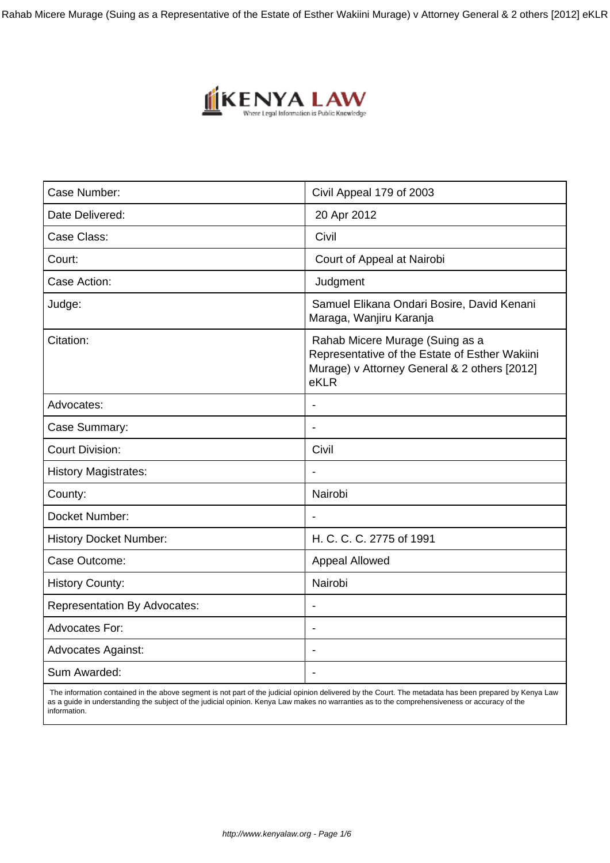Rahab Micere Murage (Suing as a Representative of the Estate of Esther Wakiini Murage) v Attorney General & 2 others [2012] eKLR



| Case Number:                        | Civil Appeal 179 of 2003                                                                                                                  |
|-------------------------------------|-------------------------------------------------------------------------------------------------------------------------------------------|
| Date Delivered:                     | 20 Apr 2012                                                                                                                               |
| Case Class:                         | Civil                                                                                                                                     |
| Court:                              | Court of Appeal at Nairobi                                                                                                                |
| Case Action:                        | Judgment                                                                                                                                  |
| Judge:                              | Samuel Elikana Ondari Bosire, David Kenani<br>Maraga, Wanjiru Karanja                                                                     |
| Citation:                           | Rahab Micere Murage (Suing as a<br>Representative of the Estate of Esther Wakiini<br>Murage) v Attorney General & 2 others [2012]<br>eKLR |
| Advocates:                          |                                                                                                                                           |
| Case Summary:                       | $\overline{\phantom{a}}$                                                                                                                  |
| <b>Court Division:</b>              | Civil                                                                                                                                     |
| <b>History Magistrates:</b>         |                                                                                                                                           |
| County:                             | Nairobi                                                                                                                                   |
| Docket Number:                      |                                                                                                                                           |
| <b>History Docket Number:</b>       | H. C. C. C. 2775 of 1991                                                                                                                  |
| Case Outcome:                       | Appeal Allowed                                                                                                                            |
| <b>History County:</b>              | Nairobi                                                                                                                                   |
| <b>Representation By Advocates:</b> | $\blacksquare$                                                                                                                            |
| <b>Advocates For:</b>               | $\blacksquare$                                                                                                                            |
| <b>Advocates Against:</b>           |                                                                                                                                           |
| Sum Awarded:                        | $\overline{\phantom{a}}$                                                                                                                  |
|                                     |                                                                                                                                           |

 The information contained in the above segment is not part of the judicial opinion delivered by the Court. The metadata has been prepared by Kenya Law as a guide in understanding the subject of the judicial opinion. Kenya Law makes no warranties as to the comprehensiveness or accuracy of the information.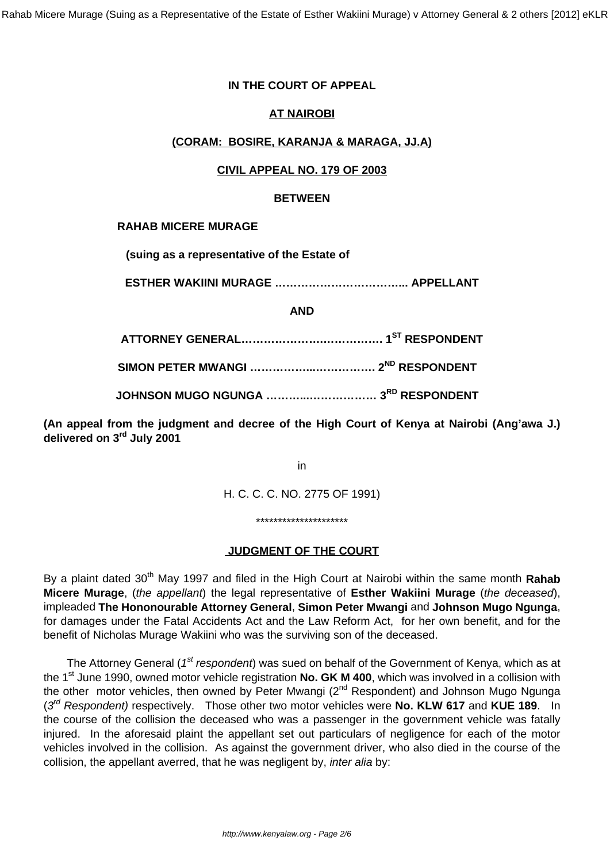## **IN THE COURT OF APPEAL**

## **AT NAIROBI**

### **(CORAM: BOSIRE, KARANJA & MARAGA, JJ.A)**

### **CIVIL APPEAL NO. 179 OF 2003**

#### **BETWEEN**

#### **RAHAB MICERE MURAGE**

**(suing as a representative of the Estate of**

**ESTHER WAKIINI MURAGE ……………………………... APPELLANT**

### **AND**

**ATTORNEY GENERAL………………….……………. 1ST RESPONDENT**

**SIMON PETER MWANGI ……………...……………. 2ND RESPONDENT**

**JOHNSON MUGO NGUNGA ………...……………… 3RD RESPONDENT**

**(An appeal from the judgment and decree of the High Court of Kenya at Nairobi (Ang'awa J.) delivered on 3rd July 2001**

in

H. C. C. C. NO. 2775 OF 1991)

\*\*\*\*\*\*\*\*\*\*\*\*\*\*\*\*\*\*\*\*\*

### **JUDGMENT OF THE COURT**

By a plaint dated 30<sup>th</sup> May 1997 and filed in the High Court at Nairobi within the same month Rahab **Micere Murage**, (the appellant) the legal representative of **Esther Wakiini Murage** (the deceased), impleaded **The Hononourable Attorney General**, **Simon Peter Mwangi** and **Johnson Mugo Ngunga**, for damages under the Fatal Accidents Act and the Law Reform Act, for her own benefit, and for the benefit of Nicholas Murage Wakiini who was the surviving son of the deceased.

The Attorney General ( $1<sup>st</sup>$  respondent) was sued on behalf of the Government of Kenya, which as at the 1<sup>st</sup> June 1990, owned motor vehicle registration **No. GK M 400**, which was involved in a collision with the other motor vehicles, then owned by Peter Mwangi (2<sup>nd</sup> Respondent) and Johnson Mugo Ngunga (3<sup>rd</sup> Respondent) respectively. Those other two motor vehicles were No. KLW 617 and KUE 189. In the course of the collision the deceased who was a passenger in the government vehicle was fatally injured. In the aforesaid plaint the appellant set out particulars of negligence for each of the motor vehicles involved in the collision. As against the government driver, who also died in the course of the collision, the appellant averred, that he was negligent by, inter alia by: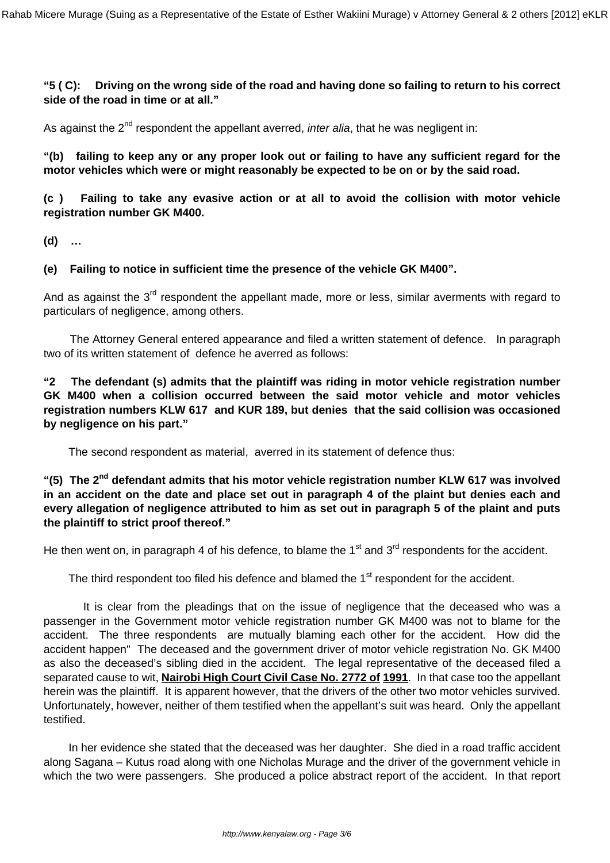**"5 ( C): Driving on the wrong side of the road and having done so failing to return to his correct side of the road in time or at all."**

As against the  $2^{nd}$  respondent the appellant averred, *inter alia*, that he was negligent in:

**"(b) failing to keep any or any proper look out or failing to have any sufficient regard for the motor vehicles which were or might reasonably be expected to be on or by the said road.**

**(c ) Failing to take any evasive action or at all to avoid the collision with motor vehicle registration number GK M400.**

**(d) …**

**(e) Failing to notice in sufficient time the presence of the vehicle GK M400".**

And as against the  $3<sup>rd</sup>$  respondent the appellant made, more or less, similar averments with regard to particulars of negligence, among others.

 The Attorney General entered appearance and filed a written statement of defence. In paragraph two of its written statement of defence he averred as follows:

**"2 The defendant (s) admits that the plaintiff was riding in motor vehicle registration number GK M400 when a collision occurred between the said motor vehicle and motor vehicles registration numbers KLW 617 and KUR 189, but denies that the said collision was occasioned by negligence on his part."**

The second respondent as material, averred in its statement of defence thus:

**"(5) The 2nd defendant admits that his motor vehicle registration number KLW 617 was involved in an accident on the date and place set out in paragraph 4 of the plaint but denies each and every allegation of negligence attributed to him as set out in paragraph 5 of the plaint and puts the plaintiff to strict proof thereof."**

He then went on, in paragraph 4 of his defence, to blame the  $1<sup>st</sup>$  and  $3<sup>rd</sup>$  respondents for the accident.

The third respondent too filed his defence and blamed the 1<sup>st</sup> respondent for the accident.

 It is clear from the pleadings that on the issue of negligence that the deceased who was a passenger in the Government motor vehicle registration number GK M400 was not to blame for the accident. The three respondents are mutually blaming each other for the accident. How did the accident happen" The deceased and the government driver of motor vehicle registration No. GK M400 as also the deceased's sibling died in the accident. The legal representative of the deceased filed a separated cause to wit, **Nairobi High Court Civil Case No. 2772 of 1991**. In that case too the appellant herein was the plaintiff. It is apparent however, that the drivers of the other two motor vehicles survived. Unfortunately, however, neither of them testified when the appellant's suit was heard. Only the appellant testified.

 In her evidence she stated that the deceased was her daughter. She died in a road traffic accident along Sagana – Kutus road along with one Nicholas Murage and the driver of the government vehicle in which the two were passengers. She produced a police abstract report of the accident. In that report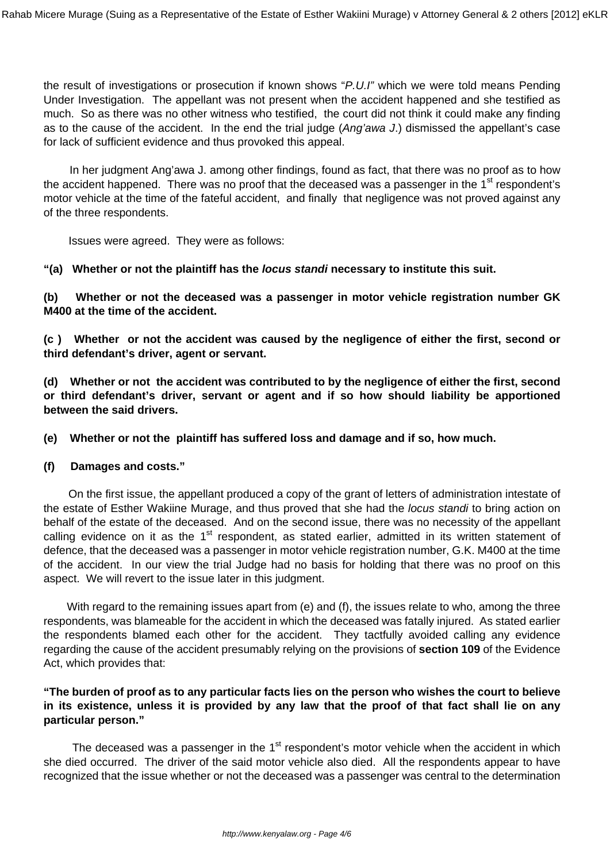the result of investigations or prosecution if known shows "P.U.I" which we were told means Pending Under Investigation. The appellant was not present when the accident happened and she testified as much. So as there was no other witness who testified, the court did not think it could make any finding as to the cause of the accident. In the end the trial judge (Ang'awa J.) dismissed the appellant's case for lack of sufficient evidence and thus provoked this appeal.

 In her judgment Ang'awa J. among other findings, found as fact, that there was no proof as to how the accident happened. There was no proof that the deceased was a passenger in the  $1<sup>st</sup>$  respondent's motor vehicle at the time of the fateful accident, and finally that negligence was not proved against any of the three respondents.

Issues were agreed. They were as follows:

**"(a) Whether or not the plaintiff has the locus standi necessary to institute this suit.**

**(b) Whether or not the deceased was a passenger in motor vehicle registration number GK M400 at the time of the accident.**

**(c ) Whether or not the accident was caused by the negligence of either the first, second or third defendant's driver, agent or servant.**

**(d) Whether or not the accident was contributed to by the negligence of either the first, second or third defendant's driver, servant or agent and if so how should liability be apportioned between the said drivers.**

**(e) Whether or not the plaintiff has suffered loss and damage and if so, how much.**

#### **(f) Damages and costs."**

 On the first issue, the appellant produced a copy of the grant of letters of administration intestate of the estate of Esther Wakiine Murage, and thus proved that she had the locus standi to bring action on behalf of the estate of the deceased. And on the second issue, there was no necessity of the appellant calling evidence on it as the  $1<sup>st</sup>$  respondent, as stated earlier, admitted in its written statement of defence, that the deceased was a passenger in motor vehicle registration number, G.K. M400 at the time of the accident. In our view the trial Judge had no basis for holding that there was no proof on this aspect. We will revert to the issue later in this judgment.

With regard to the remaining issues apart from (e) and (f), the issues relate to who, among the three respondents, was blameable for the accident in which the deceased was fatally injured. As stated earlier the respondents blamed each other for the accident. They tactfully avoided calling any evidence regarding the cause of the accident presumably relying on the provisions of **section 109** of the Evidence Act, which provides that:

## **"The burden of proof as to any particular facts lies on the person who wishes the court to believe in its existence, unless it is provided by any law that the proof of that fact shall lie on any particular person."**

The deceased was a passenger in the 1<sup>st</sup> respondent's motor vehicle when the accident in which she died occurred. The driver of the said motor vehicle also died. All the respondents appear to have recognized that the issue whether or not the deceased was a passenger was central to the determination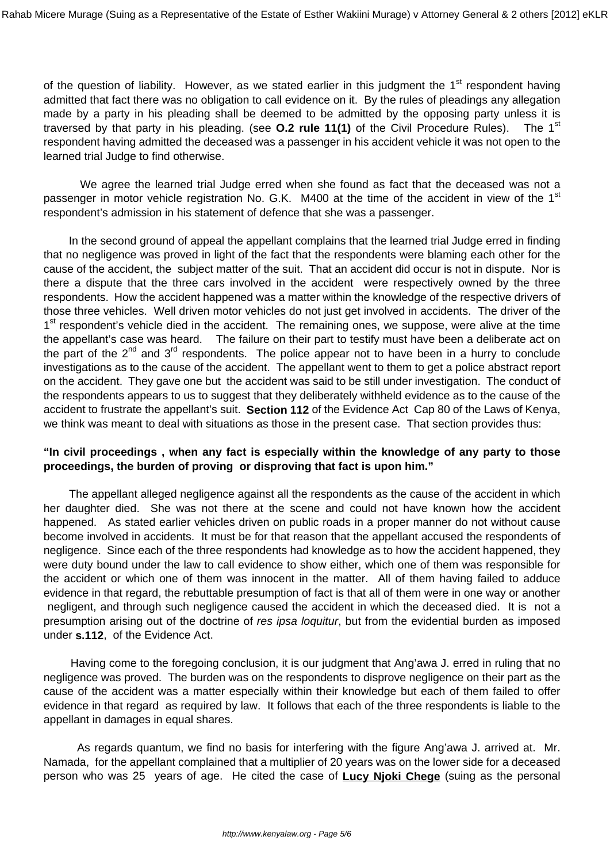of the question of liability. However, as we stated earlier in this judgment the 1<sup>st</sup> respondent having admitted that fact there was no obligation to call evidence on it. By the rules of pleadings any allegation made by a party in his pleading shall be deemed to be admitted by the opposing party unless it is traversed by that party in his pleading. (see **O.2 rule 11(1)** of the Civil Procedure Rules). The 1st respondent having admitted the deceased was a passenger in his accident vehicle it was not open to the learned trial Judge to find otherwise.

 We agree the learned trial Judge erred when she found as fact that the deceased was not a passenger in motor vehicle registration No. G.K. M400 at the time of the accident in view of the 1<sup>st</sup> respondent's admission in his statement of defence that she was a passenger.

 In the second ground of appeal the appellant complains that the learned trial Judge erred in finding that no negligence was proved in light of the fact that the respondents were blaming each other for the cause of the accident, the subject matter of the suit. That an accident did occur is not in dispute. Nor is there a dispute that the three cars involved in the accident were respectively owned by the three respondents. How the accident happened was a matter within the knowledge of the respective drivers of those three vehicles. Well driven motor vehicles do not just get involved in accidents. The driver of the 1<sup>st</sup> respondent's vehicle died in the accident. The remaining ones, we suppose, were alive at the time the appellant's case was heard. The failure on their part to testify must have been a deliberate act on the part of the  $2^{nd}$  and  $3^{rd}$  respondents. The police appear not to have been in a hurry to conclude investigations as to the cause of the accident. The appellant went to them to get a police abstract report on the accident. They gave one but the accident was said to be still under investigation. The conduct of the respondents appears to us to suggest that they deliberately withheld evidence as to the cause of the accident to frustrate the appellant's suit. **Section 112** of the Evidence Act Cap 80 of the Laws of Kenya, we think was meant to deal with situations as those in the present case. That section provides thus:

## **"In civil proceedings , when any fact is especially within the knowledge of any party to those proceedings, the burden of proving or disproving that fact is upon him."**

 The appellant alleged negligence against all the respondents as the cause of the accident in which her daughter died. She was not there at the scene and could not have known how the accident happened. As stated earlier vehicles driven on public roads in a proper manner do not without cause become involved in accidents. It must be for that reason that the appellant accused the respondents of negligence. Since each of the three respondents had knowledge as to how the accident happened, they were duty bound under the law to call evidence to show either, which one of them was responsible for the accident or which one of them was innocent in the matter. All of them having failed to adduce evidence in that regard, the rebuttable presumption of fact is that all of them were in one way or another negligent, and through such negligence caused the accident in which the deceased died. It is not a presumption arising out of the doctrine of res ipsa loquitur, but from the evidential burden as imposed under **s.112**, of the Evidence Act.

 Having come to the foregoing conclusion, it is our judgment that Ang'awa J. erred in ruling that no negligence was proved. The burden was on the respondents to disprove negligence on their part as the cause of the accident was a matter especially within their knowledge but each of them failed to offer evidence in that regard as required by law. It follows that each of the three respondents is liable to the appellant in damages in equal shares.

 As regards quantum, we find no basis for interfering with the figure Ang'awa J. arrived at. Mr. Namada, for the appellant complained that a multiplier of 20 years was on the lower side for a deceased person who was 25 years of age. He cited the case of **Lucy Njoki Chege** (suing as the personal